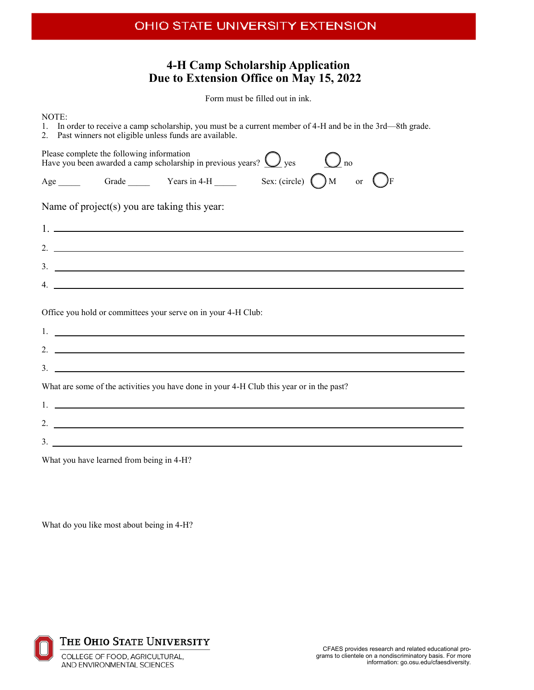## **4-H Camp Scholarship Application Due to Extension Office on May 15, 2022**

Form must be filled out in ink.

NOTE: 1. In order to receive a camp scholarship, you must be a current member of 4-H and be in the 3rd—8th grade. 2. Past winners not eligible unless funds are available. Please complete the following information Have you been awarded a camp scholarship in previous years?  $\bigcirc$  yes  $\bigcirc$  no Age Grade Years in 4-H Sex: (circle)  $\bigcap M$  or  $\bigcap F$ Name of project(s) you are taking this year: 1. 2. 3. 4. Office you hold or committees your serve on in your 4-H Club: 1. 2.  $\overline{\mathbf{3}}$ . What are some of the activities you have done in your 4-H Club this year or in the past? 1. 2.  $3.$   $\overline{\phantom{a}}$ 

What you have learned from being in 4-H?

What do you like most about being in 4-H?



THE OHIO STATE UNIVERSITY